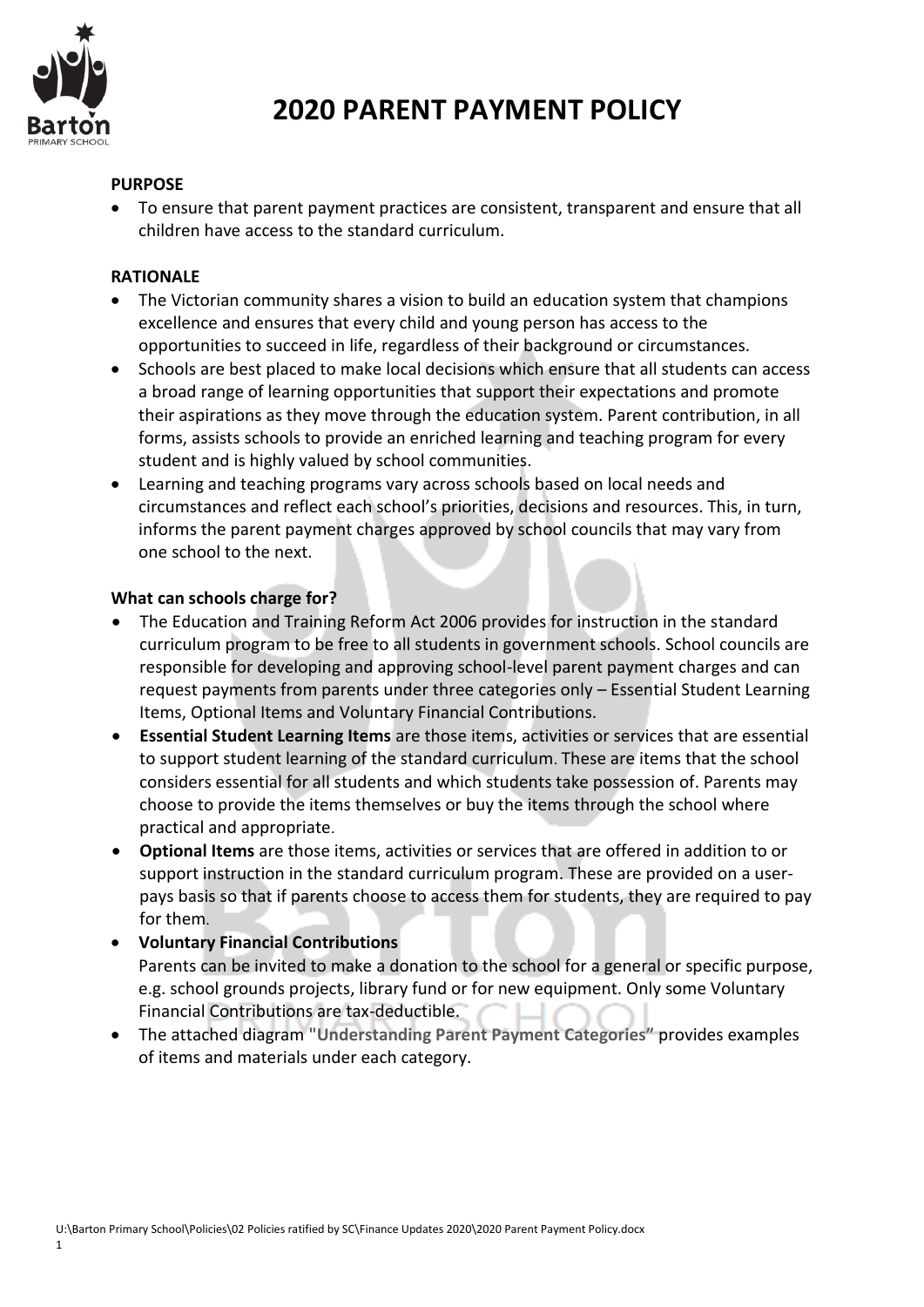

#### **PURPOSE**

 To ensure that parent payment practices are consistent, transparent and ensure that all children have access to the standard curriculum.

#### **RATIONALE**

- The Victorian community shares a vision to build an education system that champions excellence and ensures that every child and young person has access to the opportunities to succeed in life, regardless of their background or circumstances.
- Schools are best placed to make local decisions which ensure that all students can access a broad range of learning opportunities that support their expectations and promote their aspirations as they move through the education system. Parent contribution, in all forms, assists schools to provide an enriched learning and teaching program for every student and is highly valued by school communities.
- Learning and teaching programs vary across schools based on local needs and circumstances and reflect each school's priorities, decisions and resources. This, in turn, informs the parent payment charges approved by school councils that may vary from one school to the next.

#### **What can schools charge for?**

- The Education and Training Reform Act 2006 provides for instruction in the standard curriculum program to be free to all students in government schools. School councils are responsible for developing and approving school-level parent payment charges and can request payments from parents under three categories only – Essential Student Learning Items, Optional Items and Voluntary Financial Contributions.
- **Essential Student Learning Items** are those items, activities or services that are essential to support student learning of the standard curriculum. These are items that the school considers essential for all students and which students take possession of. Parents may choose to provide the items themselves or buy the items through the school where practical and appropriate.
- **Optional Items** are those items, activities or services that are offered in addition to or support instruction in the standard curriculum program. These are provided on a userpays basis so that if parents choose to access them for students, they are required to pay for them.

## **Voluntary Financial Contributions**  Parents can be invited to make a donation to the school for a general or specific purpose, e.g. school grounds projects, library fund or for new equipment. Only some Voluntary Financial Contributions are tax-deductible.

 The attached diagram **"Understanding Parent Payment Categories"** provides examples of items and materials under each category.

1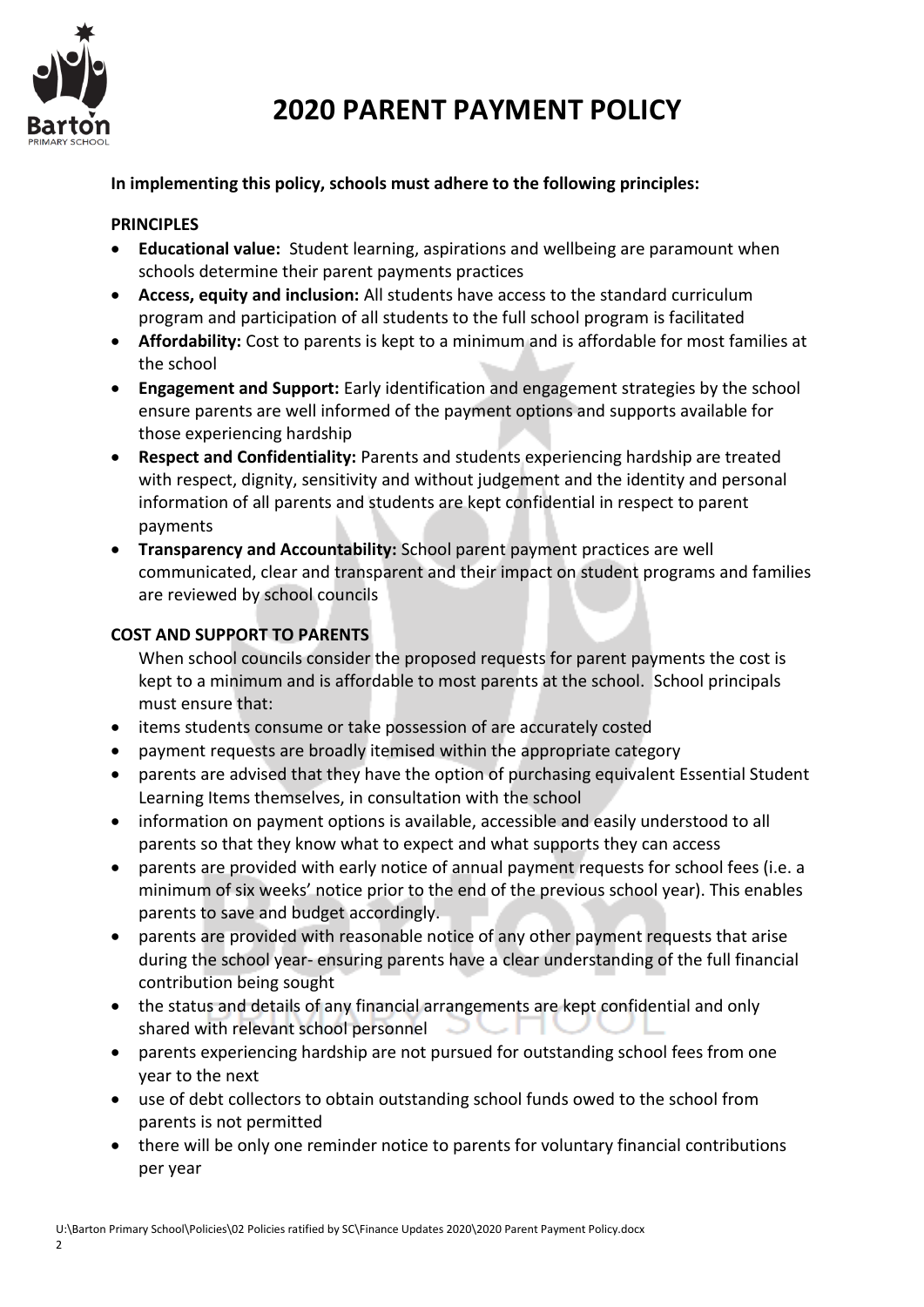

#### **In implementing this policy, schools must adhere to the following principles:**

#### **PRINCIPLES**

- **Educational value:** Student learning, aspirations and wellbeing are paramount when schools determine their parent payments practices
- **Access, equity and inclusion:** All students have access to the standard curriculum program and participation of all students to the full school program is facilitated
- **Affordability:** Cost to parents is kept to a minimum and is affordable for most families at the school
- **Engagement and Support:** Early identification and engagement strategies by the school ensure parents are well informed of the payment options and supports available for those experiencing hardship
- **Respect and Confidentiality:** Parents and students experiencing hardship are treated with respect, dignity, sensitivity and without judgement and the identity and personal information of all parents and students are kept confidential in respect to parent payments
- **Transparency and Accountability:** School parent payment practices are well communicated, clear and transparent and their impact on student programs and families are reviewed by school councils

#### **COST AND SUPPORT TO PARENTS**

When school councils consider the proposed requests for parent payments the cost is kept to a minimum and is affordable to most parents at the school. School principals must ensure that:

- items students consume or take possession of are accurately costed
- payment requests are broadly itemised within the appropriate category
- parents are advised that they have the option of purchasing equivalent Essential Student Learning Items themselves, in consultation with the school
- information on payment options is available, accessible and easily understood to all parents so that they know what to expect and what supports they can access
- parents are provided with early notice of annual payment requests for school fees (i.e. a minimum of six weeks' notice prior to the end of the previous school year). This enables parents to save and budget accordingly.
- parents are provided with reasonable notice of any other payment requests that arise during the school year- ensuring parents have a clear understanding of the full financial contribution being sought
- the status and details of any financial arrangements are kept confidential and only shared with relevant school personnel
- parents experiencing hardship are not pursued for outstanding school fees from one year to the next
- use of debt collectors to obtain outstanding school funds owed to the school from parents is not permitted
- there will be only one reminder notice to parents for voluntary financial contributions per year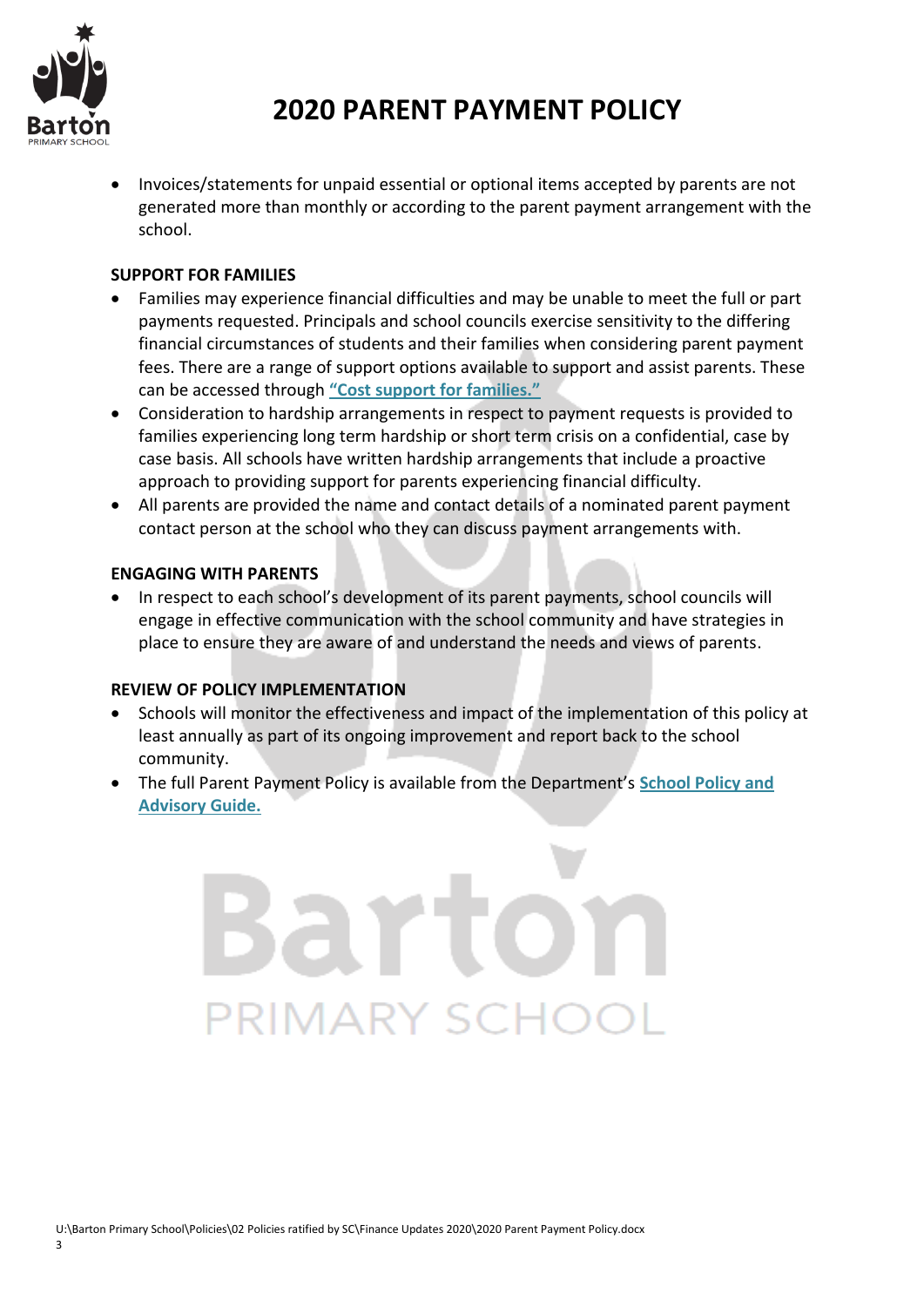

 Invoices/statements for unpaid essential or optional items accepted by parents are not generated more than monthly or according to the parent payment arrangement with the school.

#### **SUPPORT FOR FAMILIES**

- Families may experience financial difficulties and may be unable to meet the full or part payments requested. Principals and school councils exercise sensitivity to the differing financial circumstances of students and their families when considering parent payment fees. There are a range of support options available to support and assist parents. These can be accessed through **["Cost support for families."](http://www.education.vic.gov.au/Documents/school/principals/spag/management/PP_Costsupportforfamilies.docx)**
- Consideration to hardship arrangements in respect to payment requests is provided to families experiencing long term hardship or short term crisis on a confidential, case by case basis. All schools have written hardship arrangements that include a proactive approach to providing support for parents experiencing financial difficulty.
- All parents are provided the name and contact details of a nominated parent payment contact person at the school who they can discuss payment arrangements with.

#### **ENGAGING WITH PARENTS**

 In respect to each school's development of its parent payments, school councils will engage in effective communication with the school community and have strategies in place to ensure they are aware of and understand the needs and views of parents.

#### **REVIEW OF POLICY IMPLEMENTATION**

- Schools will monitor the effectiveness and impact of the implementation of this policy at least annually as part of its ongoing improvement and report back to the school community.
- The full Parent Payment Policy is available from the Department's **[School Policy and](http://www.education.vic.gov.au/school/principals/spag/management/pages/parentpayments.aspx)  [Advisory Guide.](http://www.education.vic.gov.au/school/principals/spag/management/pages/parentpayments.aspx)**

# avato PRIMARY SCHOC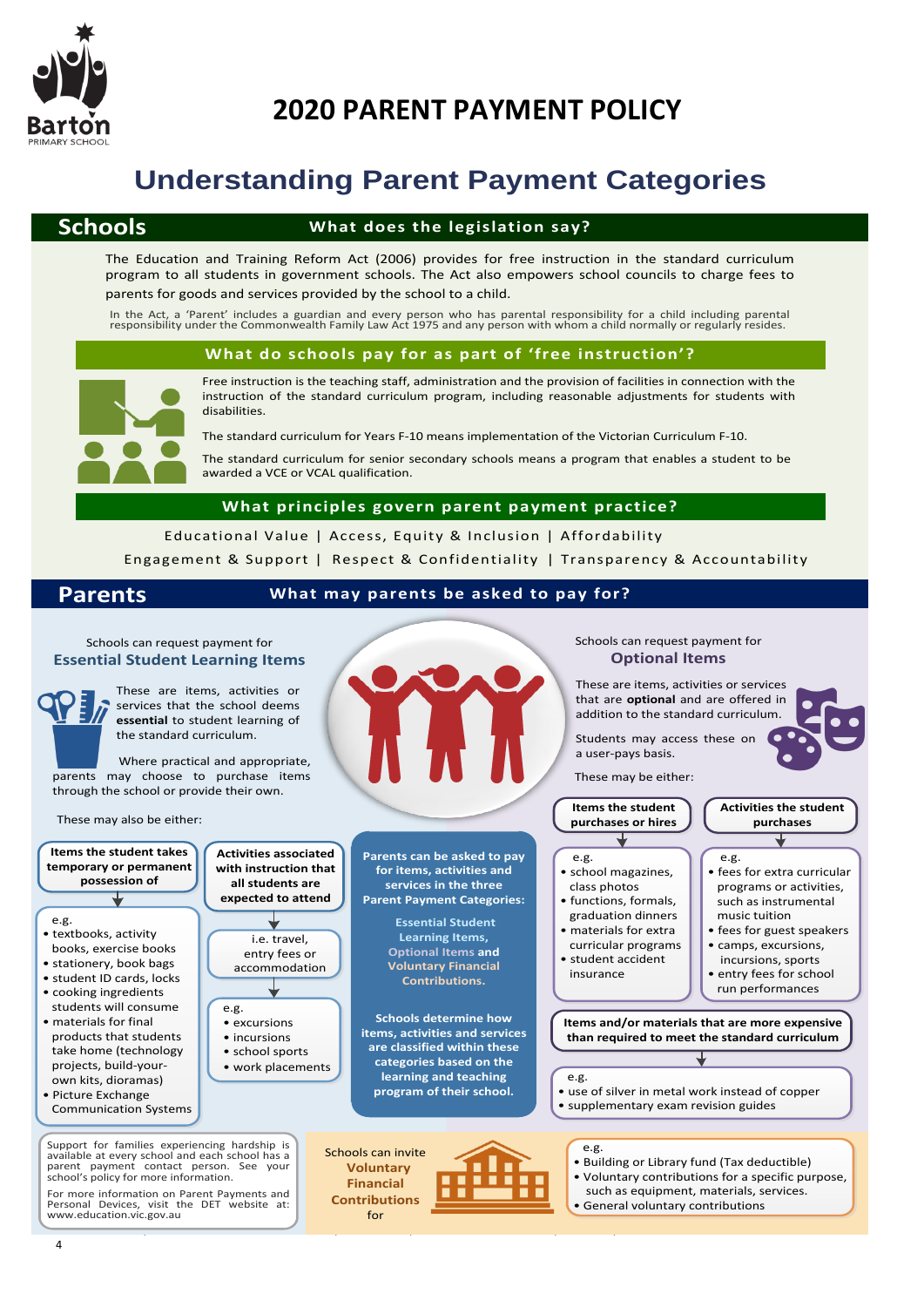

# **Understanding Parent Payment Categories**

#### **Schools**

#### **What does the legislation say?**

The Education and Training Reform Act (2006) provides for free instruction in the standard curriculum program to all students in government schools. The Act also empowers school councils to charge fees to parents for goods and services provided by the school to a child.

#### **What do schools pay for as part of 'free instruction'?**



Free instruction is the teaching staff, administration and the provision of facilities in connection with the instruction of the standard curriculum program, including reasonable adjustments for students with In the Act, a 'Parent' includes a guardian and every person who has parental responsibility for a child including parental<br>responsibility under the Commonwealth Family Law Act 1975 and any person with whom a child normally

The standard curriculum for Years F-10 means implementation of the Victorian Curriculum F-10.

The standard curriculum for senior secondary schools means a program that enables a student to be awarded a VCE or VCAL qualification.

Educational Value | Access, Equity & Inclusion | Affordability Engagement & Support <sup>|</sup> Respect & Confidentiality <sup>|</sup> Transparency & Accountability **What principles govern parent payment practice?**

#### **Parents What may parents be asked to pay for?**

#### Schools can request payment for **Essential Student Learning Items**

These are items, activities or services that the school deems **essential** to student learning of the standard curriculum.



**Contributions** for

 $U\colon\mathbb{R}^2\to\mathbb{R}^2$  Policies ratified by SC $\mathbb{R}^2$  Policy. Doctor  $\mathbb{R}^2$ 

Schools can request payment for **Optional Items**

These are items, activities or services that are **optional** and are offered in addition to the standard curriculum.

- such as equipment, materials, services.
-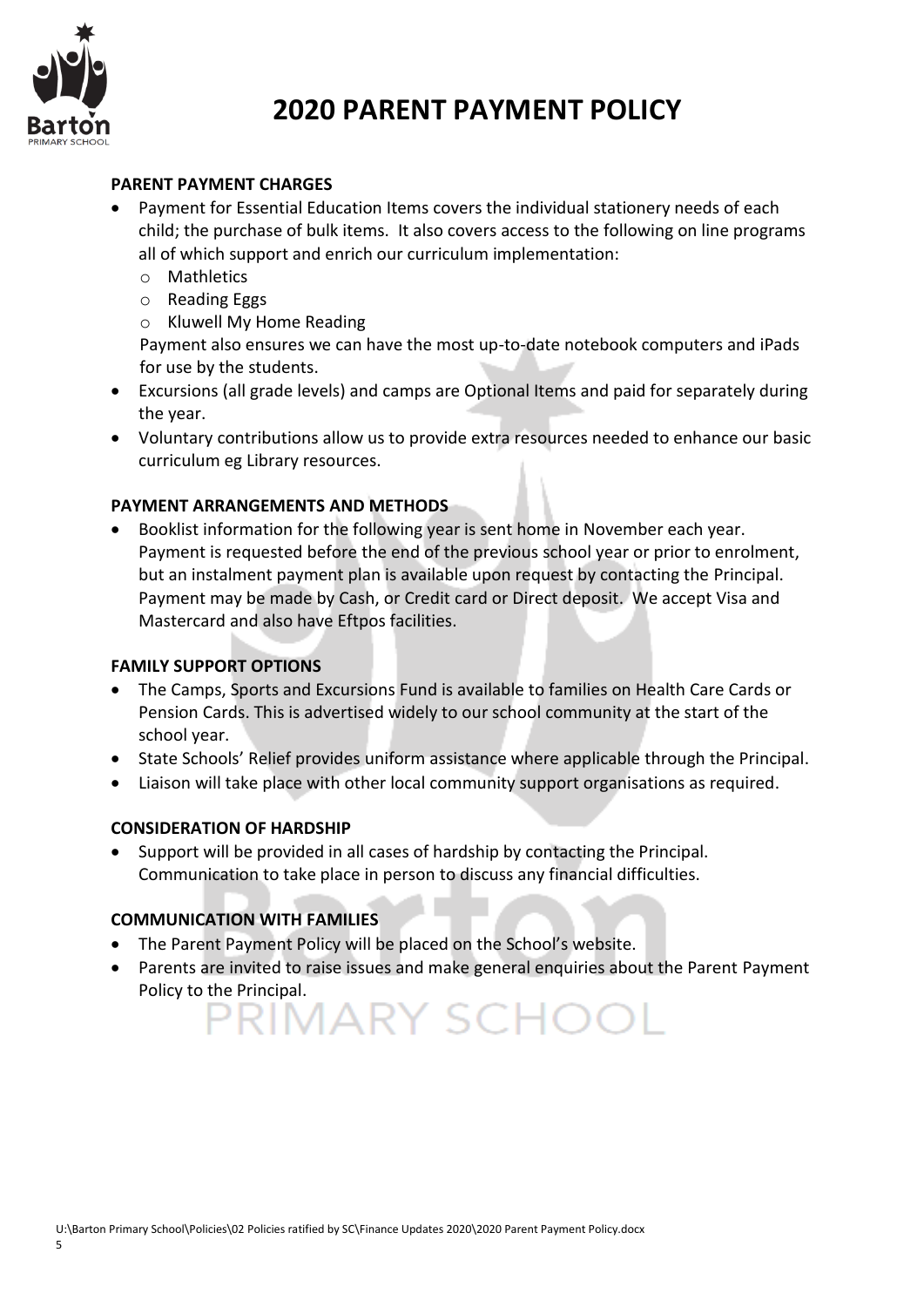

#### **PARENT PAYMENT CHARGES**

- Payment for Essential Education Items covers the individual stationery needs of each child; the purchase of bulk items. It also covers access to the following on line programs all of which support and enrich our curriculum implementation:
	- o Mathletics
	- o Reading Eggs
	- o Kluwell My Home Reading

Payment also ensures we can have the most up-to-date notebook computers and iPads for use by the students.

- Excursions (all grade levels) and camps are Optional Items and paid for separately during the year.
- Voluntary contributions allow us to provide extra resources needed to enhance our basic curriculum eg Library resources.

### **PAYMENT ARRANGEMENTS AND METHODS**

 Booklist information for the following year is sent home in November each year. Payment is requested before the end of the previous school year or prior to enrolment, but an instalment payment plan is available upon request by contacting the Principal. Payment may be made by Cash, or Credit card or Direct deposit. We accept Visa and Mastercard and also have Eftpos facilities.

#### **FAMILY SUPPORT OPTIONS**

- The Camps, Sports and Excursions Fund is available to families on Health Care Cards or Pension Cards. This is advertised widely to our school community at the start of the school year.
- State Schools' Relief provides uniform assistance where applicable through the Principal.
- Liaison will take place with other local community support organisations as required.

#### **CONSIDERATION OF HARDSHIP**

 Support will be provided in all cases of hardship by contacting the Principal. Communication to take place in person to discuss any financial difficulties.

#### **COMMUNICATION WITH FAMILIES**

- The Parent Payment Policy will be placed on the School's website.
- Parents are invited to raise issues and make general enquiries about the Parent Payment Policy to the Principal.<br> $\overline{\mathsf{PRIMARY}$  SCHOOL